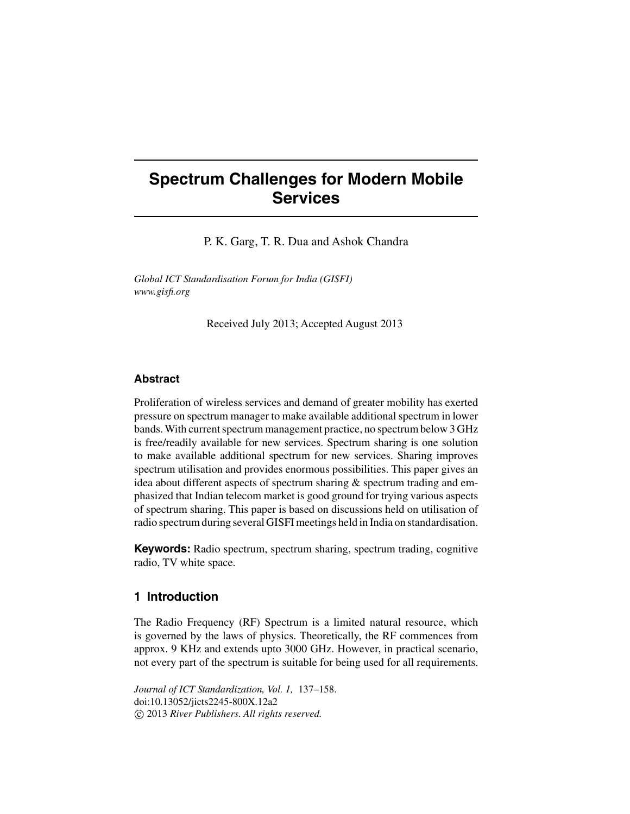# **Spectrum Challenges for Modern Mobile Services**

P. K. Garg, T. R. Dua and Ashok Chandra

*Global ICT Standardisation Forum for India (GISFI) www.gisfi.org*

Received July 2013; Accepted August 2013

## **Abstract**

Proliferation of wireless services and demand of greater mobility has exerted pressure on spectrum manager to make available additional spectrum in lower bands. With current spectrum management practice, no spectrum below 3 GHz is free/readily available for new services. Spectrum sharing is one solution to make available additional spectrum for new services. Sharing improves spectrum utilisation and provides enormous possibilities. This paper gives an idea about different aspects of spectrum sharing & spectrum trading and emphasized that Indian telecom market is good ground for trying various aspects of spectrum sharing. This paper is based on discussions held on utilisation of radio spectrum during several GISFI meetings held in India on standardisation.

**Keywords:** Radio spectrum, spectrum sharing, spectrum trading, cognitive radio, TV white space.

## **1 Introduction**

The Radio Frequency (RF) Spectrum is a limited natural resource, which is governed by the laws of physics. Theoretically, the RF commences from approx. 9 KHz and extends upto 3000 GHz. However, in practical scenario, not every part of the spectrum is suitable for being used for all requirements.

*Journal of ICT Standardization, Vol. 1,* 137–158. doi:10.13052/jicts2245-800X.12a2 -c 2013 *River Publishers. All rights reserved.*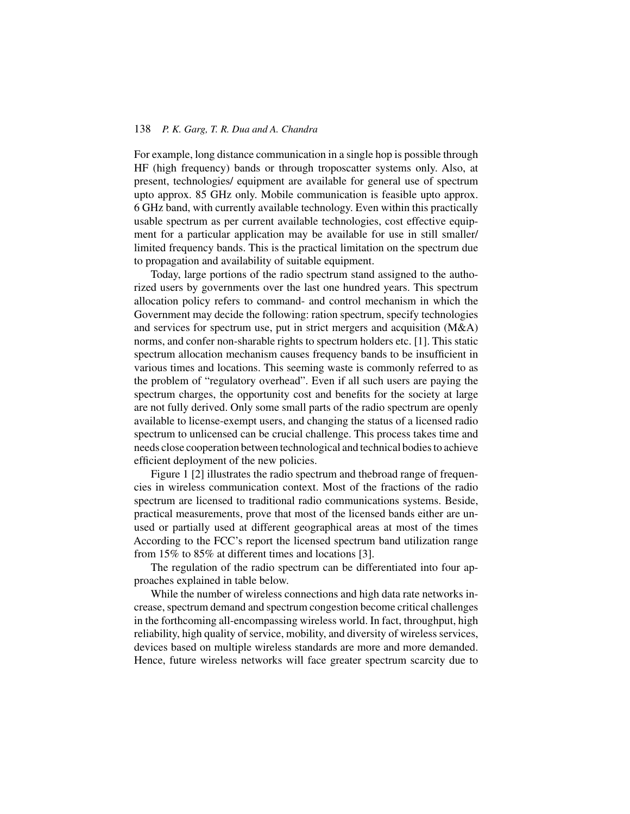For example, long distance communication in a single hop is possible through HF (high frequency) bands or through troposcatter systems only. Also, at present, technologies/ equipment are available for general use of spectrum upto approx. 85 GHz only. Mobile communication is feasible upto approx. 6 GHz band, with currently available technology. Even within this practically usable spectrum as per current available technologies, cost effective equipment for a particular application may be available for use in still smaller/ limited frequency bands. This is the practical limitation on the spectrum due to propagation and availability of suitable equipment.

Today, large portions of the radio spectrum stand assigned to the authorized users by governments over the last one hundred years. This spectrum allocation policy refers to command- and control mechanism in which the Government may decide the following: ration spectrum, specify technologies and services for spectrum use, put in strict mergers and acquisition (M&A) norms, and confer non-sharable rights to spectrum holders etc. [1]. This static spectrum allocation mechanism causes frequency bands to be insufficient in various times and locations. This seeming waste is commonly referred to as the problem of "regulatory overhead". Even if all such users are paying the spectrum charges, the opportunity cost and benefits for the society at large are not fully derived. Only some small parts of the radio spectrum are openly available to license-exempt users, and changing the status of a licensed radio spectrum to unlicensed can be crucial challenge. This process takes time and needs close cooperation between technological and technical bodies to achieve efficient deployment of the new policies.

Figure 1 [2] illustrates the radio spectrum and thebroad range of frequencies in wireless communication context. Most of the fractions of the radio spectrum are licensed to traditional radio communications systems. Beside, practical measurements, prove that most of the licensed bands either are unused or partially used at different geographical areas at most of the times According to the FCC's report the licensed spectrum band utilization range from 15% to 85% at different times and locations [3].

The regulation of the radio spectrum can be differentiated into four approaches explained in table below.

While the number of wireless connections and high data rate networks increase, spectrum demand and spectrum congestion become critical challenges in the forthcoming all-encompassing wireless world. In fact, throughput, high reliability, high quality of service, mobility, and diversity of wireless services, devices based on multiple wireless standards are more and more demanded. Hence, future wireless networks will face greater spectrum scarcity due to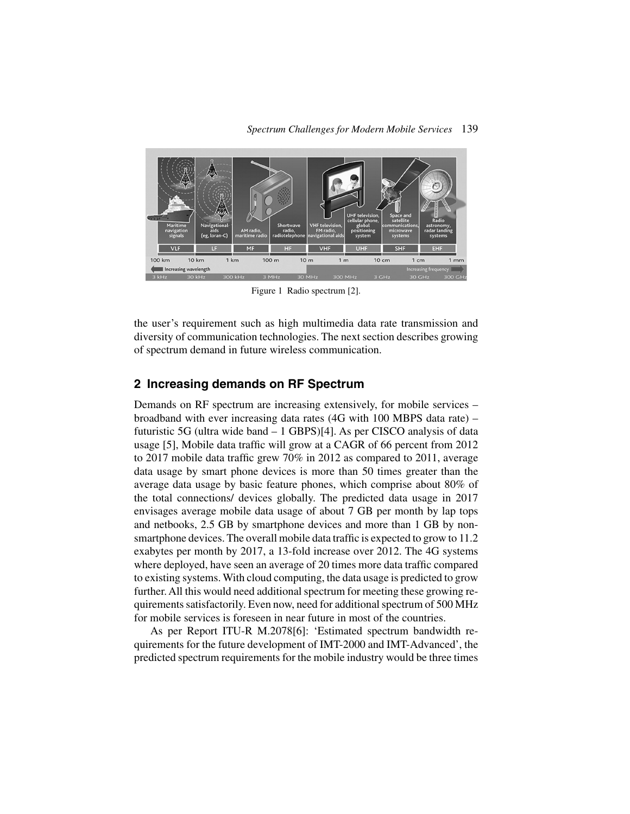

Figure 1 Radio spectrum [2].

the user's requirement such as high multimedia data rate transmission and diversity of communication technologies. The next section describes growing of spectrum demand in future wireless communication.

# **2 Increasing demands on RF Spectrum**

Demands on RF spectrum are increasing extensively, for mobile services – broadband with ever increasing data rates (4G with 100 MBPS data rate) – futuristic 5G (ultra wide band – 1 GBPS)[4]. As per CISCO analysis of data usage [5], Mobile data traffic will grow at a CAGR of 66 percent from 2012 to 2017 mobile data traffic grew 70% in 2012 as compared to 2011, average data usage by smart phone devices is more than 50 times greater than the average data usage by basic feature phones, which comprise about 80% of the total connections/ devices globally. The predicted data usage in 2017 envisages average mobile data usage of about 7 GB per month by lap tops and netbooks, 2.5 GB by smartphone devices and more than 1 GB by nonsmartphone devices. The overall mobile data traffic is expected to grow to 11.2 exabytes per month by 2017, a 13-fold increase over 2012. The 4G systems where deployed, have seen an average of 20 times more data traffic compared to existing systems. With cloud computing, the data usage is predicted to grow further. All this would need additional spectrum for meeting these growing requirements satisfactorily. Even now, need for additional spectrum of 500 MHz for mobile services is foreseen in near future in most of the countries.

As per Report ITU-R M.2078[6]: 'Estimated spectrum bandwidth requirements for the future development of IMT-2000 and IMT-Advanced', the predicted spectrum requirements for the mobile industry would be three times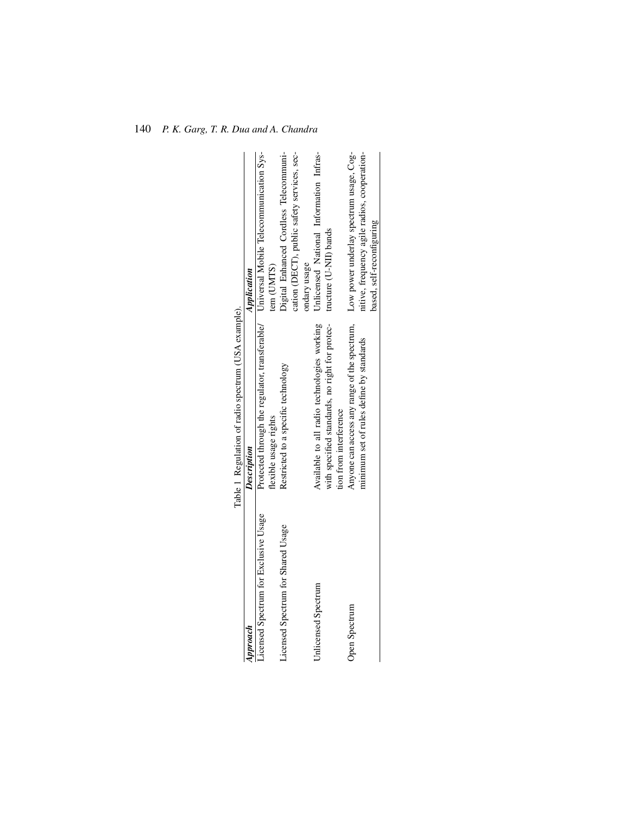|                                       | Table 1 Regulation of radio spectrum (USA example).                                                                              |                                              |
|---------------------------------------|----------------------------------------------------------------------------------------------------------------------------------|----------------------------------------------|
| Approach                              | Description                                                                                                                      | Application                                  |
| Licensed Spectrum for Exclusive Usage | Protected through the regulator, transferable/ Universal Mobile Telecommunication Sys-                                           |                                              |
|                                       | flexible usage rights                                                                                                            | tem (UMTS)                                   |
| Licensed Spectrum for Shared Usage    | Restricted to a specific technology                                                                                              | Digital Enhanced Cordless Telecommuni-       |
|                                       |                                                                                                                                  | cation (DECT), public safety services, sec-  |
|                                       |                                                                                                                                  | ondary usage                                 |
| Unlicensed Spectrum                   | Available to all radio technologies working Unlicensed National Information Infras-                                              |                                              |
|                                       | with specified standards, no right for protec- tructure (U-NII) bands<br>tion from interference                                  |                                              |
| Open Spectrum                         | Anyone can access any range of the spectrum, Low power underlay spectrum usage, Cog-<br>minimum set of rules define by standards | nitive, frequency agile radios, cooperation- |
|                                       |                                                                                                                                  | based, self-reconfiguring                    |
|                                       |                                                                                                                                  |                                              |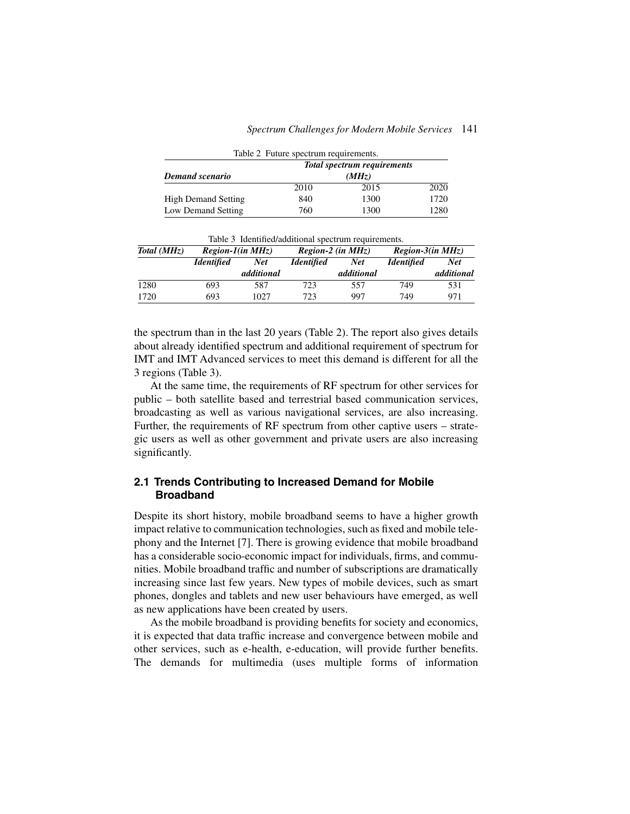| Table 2 Future spectrum requirements. |                                             |      |      |  |  |  |
|---------------------------------------|---------------------------------------------|------|------|--|--|--|
|                                       | <b>Total spectrum requirements</b><br>(MHz) |      |      |  |  |  |
| Demand scenario                       |                                             |      |      |  |  |  |
|                                       | 2010                                        | 2015 | 2020 |  |  |  |
| <b>High Demand Setting</b>            | 840                                         | 1300 | 1720 |  |  |  |
| Low Demand Setting                    | 760                                         | 1300 | 1280 |  |  |  |

| Table 3 Identified/additional spectrum requirements. |                    |            |                          |            |                    |            |
|------------------------------------------------------|--------------------|------------|--------------------------|------------|--------------------|------------|
| Total (MHz)                                          | $Region-I(in MHz)$ |            | <i>Region-2 (in MHz)</i> |            | $Region-3(in MHz)$ |            |
|                                                      | <b>Identified</b>  | Net        | <b>Identified</b>        | Net        | <b>Identified</b>  | <b>Net</b> |
|                                                      |                    | additional |                          | additional |                    | additional |
| 1280                                                 | 693                | 587        | 723                      | 557        | 749                | 531        |
| 1720                                                 | 693                | 1027       | 723                      | 997        | 749                | 971        |

the spectrum than in the last 20 years (Table 2). The report also gives details about already identified spectrum and additional requirement of spectrum for IMT and IMT Advanced services to meet this demand is different for all the 3 regions (Table 3).

At the same time, the requirements of RF spectrum for other services for public – both satellite based and terrestrial based communication services, broadcasting as well as various navigational services, are also increasing. Further, the requirements of RF spectrum from other captive users – strategic users as well as other government and private users are also increasing significantly.

## **2.1 Trends Contributing to Increased Demand for Mobile Broadband**

Despite its short history, mobile broadband seems to have a higher growth impact relative to communication technologies, such as fixed and mobile telephony and the Internet [7]. There is growing evidence that mobile broadband has a considerable socio-economic impact for individuals, firms, and communities. Mobile broadband traffic and number of subscriptions are dramatically increasing since last few years. New types of mobile devices, such as smart phones, dongles and tablets and new user behaviours have emerged, as well as new applications have been created by users.

As the mobile broadband is providing benefits for society and economics, it is expected that data traffic increase and convergence between mobile and other services, such as e-health, e-education, will provide further benefits. The demands for multimedia (uses multiple forms of information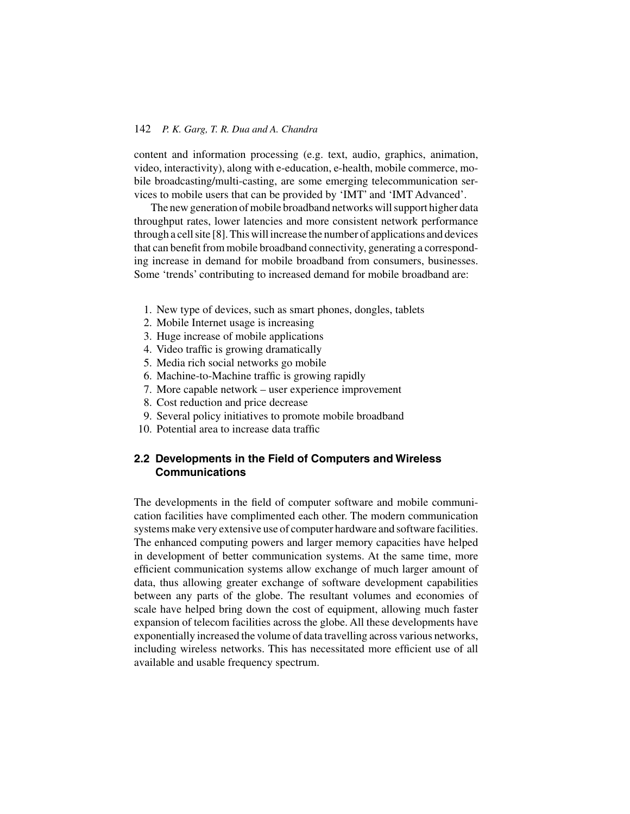content and information processing (e.g. text, audio, graphics, animation, video, interactivity), along with e-education, e-health, mobile commerce, mobile broadcasting/multi-casting, are some emerging telecommunication services to mobile users that can be provided by 'IMT' and 'IMT Advanced'.

The new generation of mobile broadband networks will support higher data throughput rates, lower latencies and more consistent network performance through a cell site [8]. This will increase the number of applications and devices that can benefit from mobile broadband connectivity, generating a corresponding increase in demand for mobile broadband from consumers, businesses. Some 'trends' contributing to increased demand for mobile broadband are:

- 1. New type of devices, such as smart phones, dongles, tablets
- 2. Mobile Internet usage is increasing
- 3. Huge increase of mobile applications
- 4. Video traffic is growing dramatically
- 5. Media rich social networks go mobile
- 6. Machine-to-Machine traffic is growing rapidly
- 7. More capable network user experience improvement
- 8. Cost reduction and price decrease
- 9. Several policy initiatives to promote mobile broadband
- 10. Potential area to increase data traffic

## **2.2 Developments in the Field of Computers and Wireless Communications**

The developments in the field of computer software and mobile communication facilities have complimented each other. The modern communication systems make very extensive use of computer hardware and software facilities. The enhanced computing powers and larger memory capacities have helped in development of better communication systems. At the same time, more efficient communication systems allow exchange of much larger amount of data, thus allowing greater exchange of software development capabilities between any parts of the globe. The resultant volumes and economies of scale have helped bring down the cost of equipment, allowing much faster expansion of telecom facilities across the globe. All these developments have exponentially increased the volume of data travelling across various networks, including wireless networks. This has necessitated more efficient use of all available and usable frequency spectrum.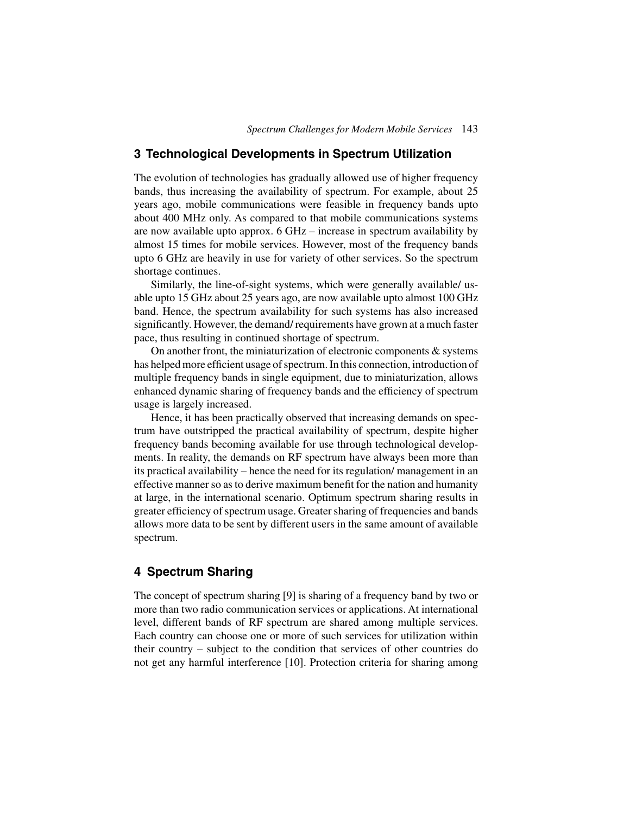## **3 Technological Developments in Spectrum Utilization**

The evolution of technologies has gradually allowed use of higher frequency bands, thus increasing the availability of spectrum. For example, about 25 years ago, mobile communications were feasible in frequency bands upto about 400 MHz only. As compared to that mobile communications systems are now available upto approx. 6 GHz – increase in spectrum availability by almost 15 times for mobile services. However, most of the frequency bands upto 6 GHz are heavily in use for variety of other services. So the spectrum shortage continues.

Similarly, the line-of-sight systems, which were generally available/ usable upto 15 GHz about 25 years ago, are now available upto almost 100 GHz band. Hence, the spectrum availability for such systems has also increased significantly. However, the demand/ requirements have grown at a much faster pace, thus resulting in continued shortage of spectrum.

On another front, the miniaturization of electronic components  $\&$  systems has helped more efficient usage of spectrum. In this connection, introduction of multiple frequency bands in single equipment, due to miniaturization, allows enhanced dynamic sharing of frequency bands and the efficiency of spectrum usage is largely increased.

Hence, it has been practically observed that increasing demands on spectrum have outstripped the practical availability of spectrum, despite higher frequency bands becoming available for use through technological developments. In reality, the demands on RF spectrum have always been more than its practical availability – hence the need for its regulation/ management in an effective manner so as to derive maximum benefit for the nation and humanity at large, in the international scenario. Optimum spectrum sharing results in greater efficiency of spectrum usage. Greater sharing of frequencies and bands allows more data to be sent by different users in the same amount of available spectrum.

## **4 Spectrum Sharing**

The concept of spectrum sharing [9] is sharing of a frequency band by two or more than two radio communication services or applications. At international level, different bands of RF spectrum are shared among multiple services. Each country can choose one or more of such services for utilization within their country – subject to the condition that services of other countries do not get any harmful interference [10]. Protection criteria for sharing among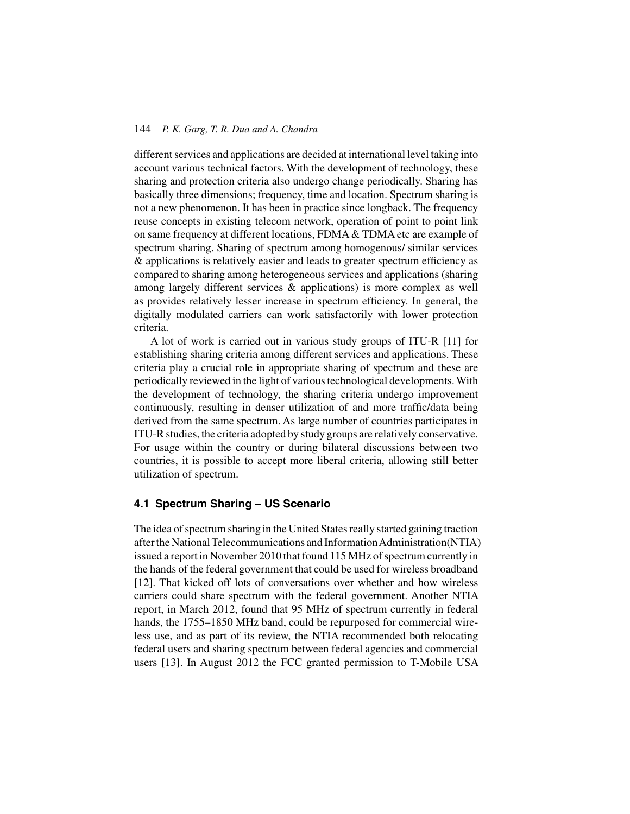different services and applications are decided at international level taking into account various technical factors. With the development of technology, these sharing and protection criteria also undergo change periodically. Sharing has basically three dimensions; frequency, time and location. Spectrum sharing is not a new phenomenon. It has been in practice since longback. The frequency reuse concepts in existing telecom network, operation of point to point link on same frequency at different locations, FDMA & TDMA etc are example of spectrum sharing. Sharing of spectrum among homogenous/ similar services & applications is relatively easier and leads to greater spectrum efficiency as compared to sharing among heterogeneous services and applications (sharing among largely different services & applications) is more complex as well as provides relatively lesser increase in spectrum efficiency. In general, the digitally modulated carriers can work satisfactorily with lower protection criteria.

A lot of work is carried out in various study groups of ITU-R [11] for establishing sharing criteria among different services and applications. These criteria play a crucial role in appropriate sharing of spectrum and these are periodically reviewed in the light of various technological developments. With the development of technology, the sharing criteria undergo improvement continuously, resulting in denser utilization of and more traffic/data being derived from the same spectrum. As large number of countries participates in ITU-R studies, the criteria adopted by study groups are relatively conservative. For usage within the country or during bilateral discussions between two countries, it is possible to accept more liberal criteria, allowing still better utilization of spectrum.

#### **4.1 Spectrum Sharing – US Scenario**

The idea of spectrum sharing in the United States really started gaining traction after the National Telecommunications and Information Administration(NTIA) issued a report in November 2010 that found 115 MHz of spectrum currently in the hands of the federal government that could be used for wireless broadband [12]. That kicked off lots of conversations over whether and how wireless carriers could share spectrum with the federal government. Another NTIA report, in March 2012, found that 95 MHz of spectrum currently in federal hands, the 1755–1850 MHz band, could be repurposed for commercial wireless use, and as part of its review, the NTIA recommended both relocating federal users and sharing spectrum between federal agencies and commercial users [13]. In August 2012 the FCC granted permission to T-Mobile USA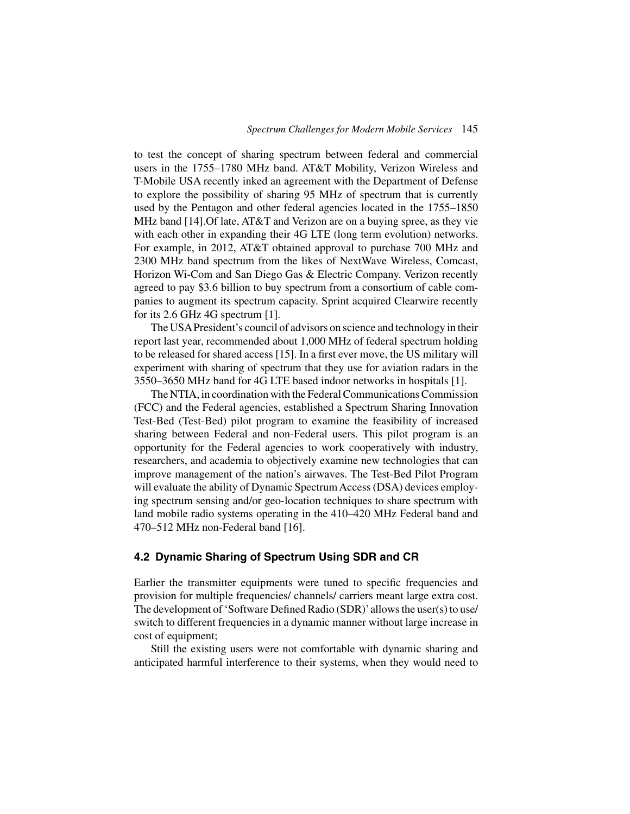to test the concept of sharing spectrum between federal and commercial users in the 1755–1780 MHz band. AT&T Mobility, Verizon Wireless and T-Mobile USA recently inked an agreement with the Department of Defense to explore the possibility of sharing 95 MHz of spectrum that is currently used by the Pentagon and other federal agencies located in the 1755–1850 MHz band [14]. Of late, AT&T and Verizon are on a buying spree, as they vie with each other in expanding their 4G LTE (long term evolution) networks. For example, in 2012, AT&T obtained approval to purchase 700 MHz and 2300 MHz band spectrum from the likes of NextWave Wireless, Comcast, Horizon Wi-Com and San Diego Gas & Electric Company. Verizon recently agreed to pay \$3.6 billion to buy spectrum from a consortium of cable companies to augment its spectrum capacity. Sprint acquired Clearwire recently for its 2.6 GHz 4G spectrum [1].

The USAPresident's council of advisors on science and technology in their report last year, recommended about 1,000 MHz of federal spectrum holding to be released for shared access [15]. In a first ever move, the US military will experiment with sharing of spectrum that they use for aviation radars in the 3550–3650 MHz band for 4G LTE based indoor networks in hospitals [1].

The NTIA, in coordination with the Federal Communications Commission (FCC) and the Federal agencies, established a Spectrum Sharing Innovation Test-Bed (Test-Bed) pilot program to examine the feasibility of increased sharing between Federal and non-Federal users. This pilot program is an opportunity for the Federal agencies to work cooperatively with industry, researchers, and academia to objectively examine new technologies that can improve management of the nation's airwaves. The Test-Bed Pilot Program will evaluate the ability of Dynamic Spectrum Access (DSA) devices employing spectrum sensing and/or geo-location techniques to share spectrum with land mobile radio systems operating in the 410–420 MHz Federal band and 470–512 MHz non-Federal band [16].

#### **4.2 Dynamic Sharing of Spectrum Using SDR and CR**

Earlier the transmitter equipments were tuned to specific frequencies and provision for multiple frequencies/ channels/ carriers meant large extra cost. The development of 'Software Defined Radio (SDR)'allows the user(s) to use/ switch to different frequencies in a dynamic manner without large increase in cost of equipment;

Still the existing users were not comfortable with dynamic sharing and anticipated harmful interference to their systems, when they would need to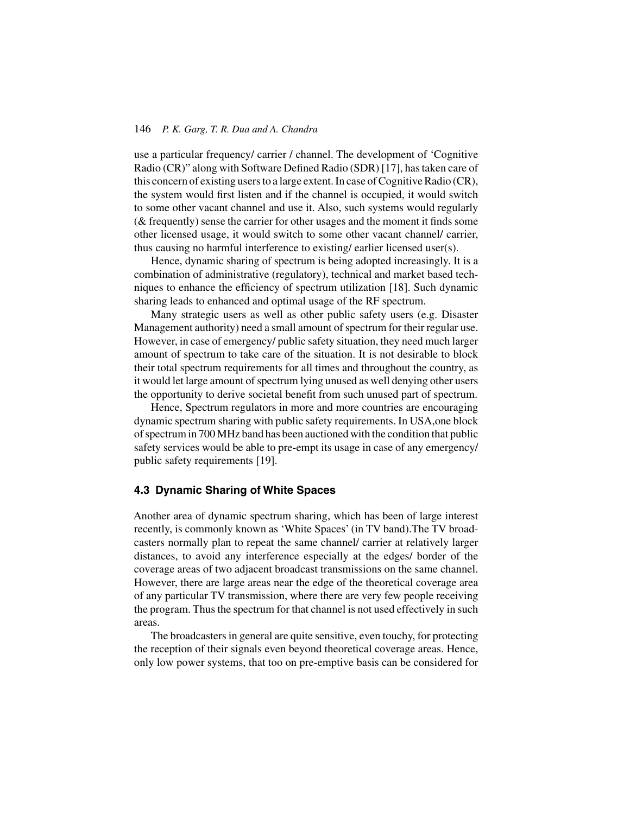use a particular frequency/ carrier / channel. The development of 'Cognitive Radio (CR)" along with Software Defined Radio (SDR) [17], has taken care of this concern of existing users to a large extent. In case of Cognitive Radio (CR), the system would first listen and if the channel is occupied, it would switch to some other vacant channel and use it. Also, such systems would regularly (& frequently) sense the carrier for other usages and the moment it finds some other licensed usage, it would switch to some other vacant channel/ carrier, thus causing no harmful interference to existing/ earlier licensed user(s).

Hence, dynamic sharing of spectrum is being adopted increasingly. It is a combination of administrative (regulatory), technical and market based techniques to enhance the efficiency of spectrum utilization [18]. Such dynamic sharing leads to enhanced and optimal usage of the RF spectrum.

Many strategic users as well as other public safety users (e.g. Disaster Management authority) need a small amount of spectrum for their regular use. However, in case of emergency/ public safety situation, they need much larger amount of spectrum to take care of the situation. It is not desirable to block their total spectrum requirements for all times and throughout the country, as it would let large amount of spectrum lying unused as well denying other users the opportunity to derive societal benefit from such unused part of spectrum.

Hence, Spectrum regulators in more and more countries are encouraging dynamic spectrum sharing with public safety requirements. In USA,one block of spectrum in 700 MHz band has been auctioned with the condition that public safety services would be able to pre-empt its usage in case of any emergency/ public safety requirements [19].

#### **4.3 Dynamic Sharing of White Spaces**

Another area of dynamic spectrum sharing, which has been of large interest recently, is commonly known as 'White Spaces' (in TV band).The TV broadcasters normally plan to repeat the same channel/ carrier at relatively larger distances, to avoid any interference especially at the edges/ border of the coverage areas of two adjacent broadcast transmissions on the same channel. However, there are large areas near the edge of the theoretical coverage area of any particular TV transmission, where there are very few people receiving the program. Thus the spectrum for that channel is not used effectively in such areas.

The broadcasters in general are quite sensitive, even touchy, for protecting the reception of their signals even beyond theoretical coverage areas. Hence, only low power systems, that too on pre-emptive basis can be considered for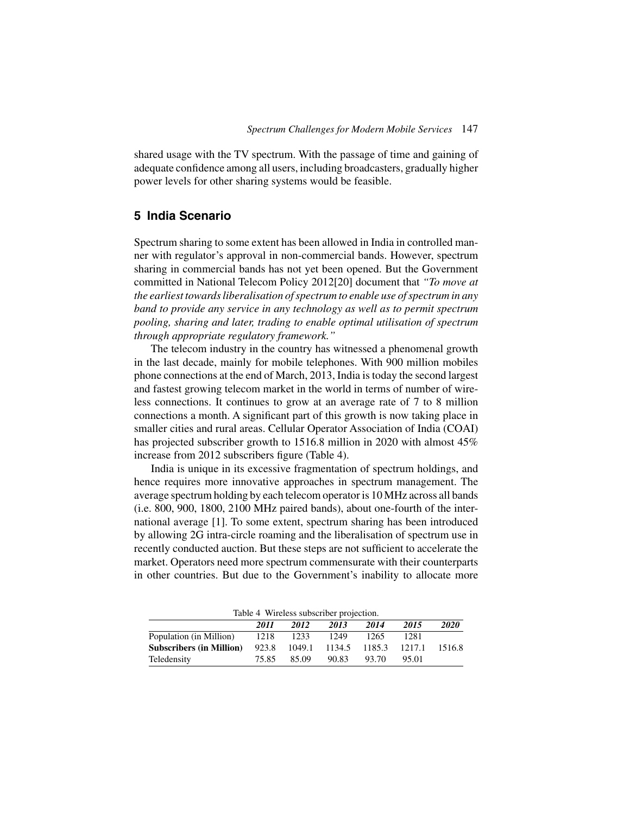shared usage with the TV spectrum. With the passage of time and gaining of adequate confidence among all users, including broadcasters, gradually higher power levels for other sharing systems would be feasible.

# **5 India Scenario**

Spectrum sharing to some extent has been allowed in India in controlled manner with regulator's approval in non-commercial bands. However, spectrum sharing in commercial bands has not yet been opened. But the Government committed in National Telecom Policy 2012[20] document that *"To move at the earliest towards liberalisation of spectrum to enable use of spectrum in any band to provide any service in any technology as well as to permit spectrum pooling, sharing and later, trading to enable optimal utilisation of spectrum through appropriate regulatory framework."*

The telecom industry in the country has witnessed a phenomenal growth in the last decade, mainly for mobile telephones. With 900 million mobiles phone connections at the end of March, 2013, India is today the second largest and fastest growing telecom market in the world in terms of number of wireless connections. It continues to grow at an average rate of 7 to 8 million connections a month. A significant part of this growth is now taking place in smaller cities and rural areas. Cellular Operator Association of India (COAI) has projected subscriber growth to 1516.8 million in 2020 with almost 45% increase from 2012 subscribers figure (Table 4).

India is unique in its excessive fragmentation of spectrum holdings, and hence requires more innovative approaches in spectrum management. The average spectrum holding by each telecom operator is 10 MHz across all bands (i.e. 800, 900, 1800, 2100 MHz paired bands), about one-fourth of the international average [1]. To some extent, spectrum sharing has been introduced by allowing 2G intra-circle roaming and the liberalisation of spectrum use in recently conducted auction. But these steps are not sufficient to accelerate the market. Operators need more spectrum commensurate with their counterparts in other countries. But due to the Government's inability to allocate more

| Table 4 Wireless subscriber projection. |       |        |        |        |        |        |
|-----------------------------------------|-------|--------|--------|--------|--------|--------|
|                                         | 2011  | 2012   | 2013   | 2014   | 2015   | 2020   |
| Population (in Million)                 | 1218  | 1233   | 1249   | 1265   | 1281   |        |
| <b>Subscribers (in Million)</b>         | 923.8 | 1049.1 | 1134.5 | 1185.3 | 1217.1 | 1516.8 |
| Teledensity                             | 75.85 | 85.09  | 90.83  | 93.70  | 95.01  |        |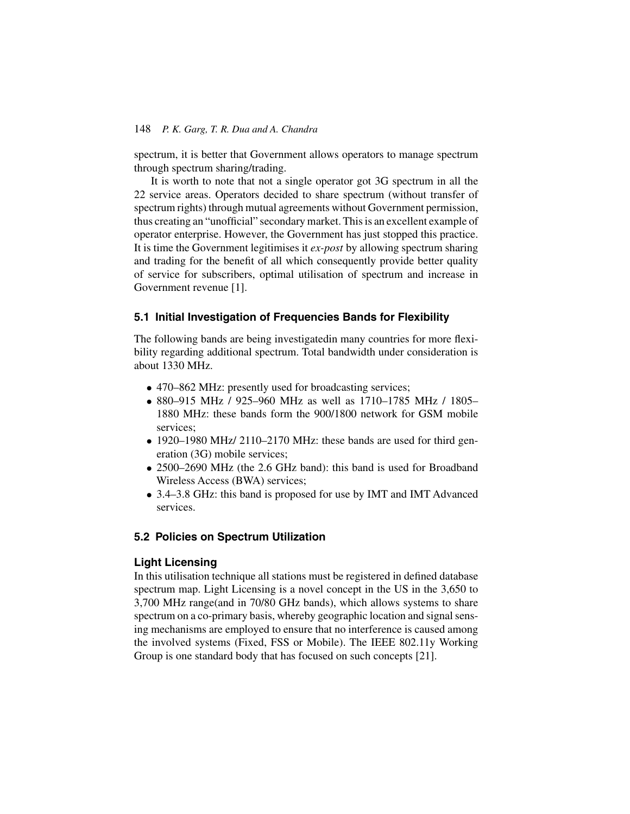spectrum, it is better that Government allows operators to manage spectrum through spectrum sharing/trading.

It is worth to note that not a single operator got 3G spectrum in all the 22 service areas. Operators decided to share spectrum (without transfer of spectrum rights) through mutual agreements without Government permission, thus creating an "unofficial" secondary market. This is an excellent example of operator enterprise. However, the Government has just stopped this practice. It is time the Government legitimises it *ex-post* by allowing spectrum sharing and trading for the benefit of all which consequently provide better quality of service for subscribers, optimal utilisation of spectrum and increase in Government revenue [1].

#### **5.1 Initial Investigation of Frequencies Bands for Flexibility**

The following bands are being investigatedin many countries for more flexibility regarding additional spectrum. Total bandwidth under consideration is about 1330 MHz.

- 470–862 MHz: presently used for broadcasting services;
- 880–915 MHz / 925–960 MHz as well as 1710–1785 MHz / 1805– 1880 MHz: these bands form the 900/1800 network for GSM mobile services;
- 1920–1980 MHz/ 2110–2170 MHz: these bands are used for third generation (3G) mobile services;
- 2500–2690 MHz (the 2.6 GHz band): this band is used for Broadband Wireless Access (BWA) services;
- 3.4–3.8 GHz: this band is proposed for use by IMT and IMT Advanced services.

## **5.2 Policies on Spectrum Utilization**

## **Light Licensing**

In this utilisation technique all stations must be registered in defined database spectrum map. Light Licensing is a novel concept in the US in the 3,650 to 3,700 MHz range(and in 70/80 GHz bands), which allows systems to share spectrum on a co-primary basis, whereby geographic location and signal sensing mechanisms are employed to ensure that no interference is caused among the involved systems (Fixed, FSS or Mobile). The IEEE 802.11y Working Group is one standard body that has focused on such concepts [21].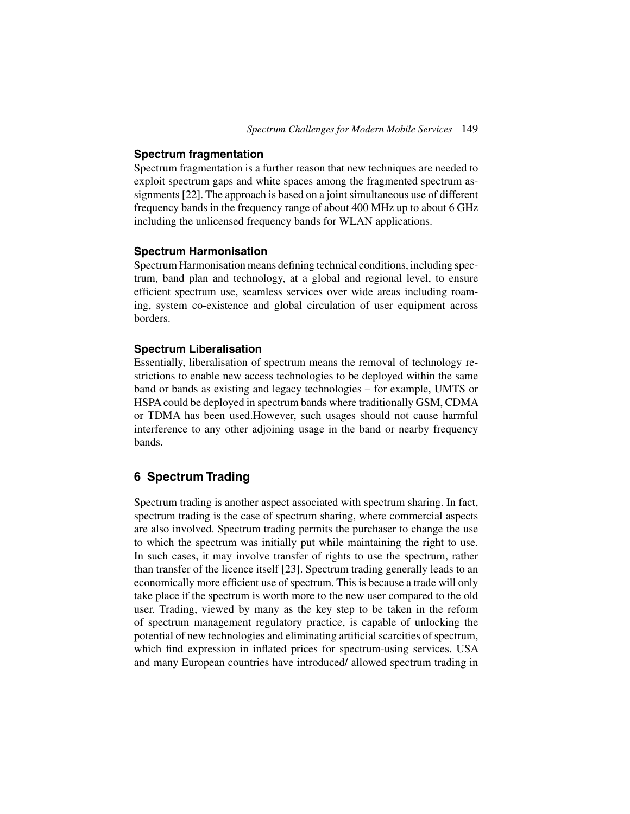#### **Spectrum fragmentation**

Spectrum fragmentation is a further reason that new techniques are needed to exploit spectrum gaps and white spaces among the fragmented spectrum assignments [22]. The approach is based on a joint simultaneous use of different frequency bands in the frequency range of about 400 MHz up to about 6 GHz including the unlicensed frequency bands for WLAN applications.

#### **Spectrum Harmonisation**

Spectrum Harmonisation means defining technical conditions, including spectrum, band plan and technology, at a global and regional level, to ensure efficient spectrum use, seamless services over wide areas including roaming, system co-existence and global circulation of user equipment across borders.

#### **Spectrum Liberalisation**

Essentially, liberalisation of spectrum means the removal of technology restrictions to enable new access technologies to be deployed within the same band or bands as existing and legacy technologies – for example, UMTS or HSPA could be deployed in spectrum bands where traditionally GSM, CDMA or TDMA has been used.However, such usages should not cause harmful interference to any other adjoining usage in the band or nearby frequency bands.

## **6 Spectrum Trading**

Spectrum trading is another aspect associated with spectrum sharing. In fact, spectrum trading is the case of spectrum sharing, where commercial aspects are also involved. Spectrum trading permits the purchaser to change the use to which the spectrum was initially put while maintaining the right to use. In such cases, it may involve transfer of rights to use the spectrum, rather than transfer of the licence itself [23]. Spectrum trading generally leads to an economically more efficient use of spectrum. This is because a trade will only take place if the spectrum is worth more to the new user compared to the old user. Trading, viewed by many as the key step to be taken in the reform of spectrum management regulatory practice, is capable of unlocking the potential of new technologies and eliminating artificial scarcities of spectrum, which find expression in inflated prices for spectrum-using services. USA and many European countries have introduced/ allowed spectrum trading in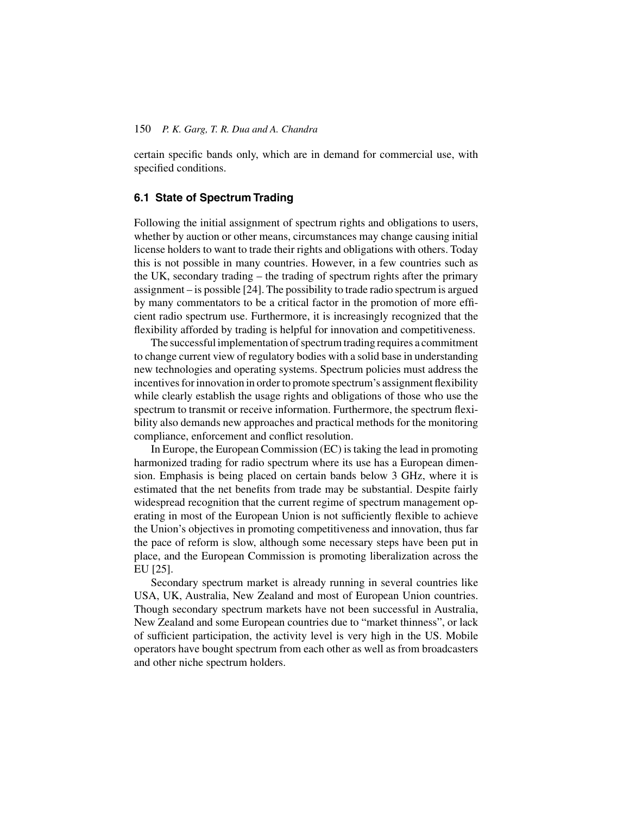certain specific bands only, which are in demand for commercial use, with specified conditions.

#### **6.1 State of Spectrum Trading**

Following the initial assignment of spectrum rights and obligations to users, whether by auction or other means, circumstances may change causing initial license holders to want to trade their rights and obligations with others. Today this is not possible in many countries. However, in a few countries such as the UK, secondary trading – the trading of spectrum rights after the primary assignment – is possible [24]. The possibility to trade radio spectrum is argued by many commentators to be a critical factor in the promotion of more efficient radio spectrum use. Furthermore, it is increasingly recognized that the flexibility afforded by trading is helpful for innovation and competitiveness.

The successful implementation of spectrum trading requires a commitment to change current view of regulatory bodies with a solid base in understanding new technologies and operating systems. Spectrum policies must address the incentives for innovation in order to promote spectrum's assignment flexibility while clearly establish the usage rights and obligations of those who use the spectrum to transmit or receive information. Furthermore, the spectrum flexibility also demands new approaches and practical methods for the monitoring compliance, enforcement and conflict resolution.

In Europe, the European Commission (EC) is taking the lead in promoting harmonized trading for radio spectrum where its use has a European dimension. Emphasis is being placed on certain bands below 3 GHz, where it is estimated that the net benefits from trade may be substantial. Despite fairly widespread recognition that the current regime of spectrum management operating in most of the European Union is not sufficiently flexible to achieve the Union's objectives in promoting competitiveness and innovation, thus far the pace of reform is slow, although some necessary steps have been put in place, and the European Commission is promoting liberalization across the EU [25].

Secondary spectrum market is already running in several countries like USA, UK, Australia, New Zealand and most of European Union countries. Though secondary spectrum markets have not been successful in Australia, New Zealand and some European countries due to "market thinness", or lack of sufficient participation, the activity level is very high in the US. Mobile operators have bought spectrum from each other as well as from broadcasters and other niche spectrum holders.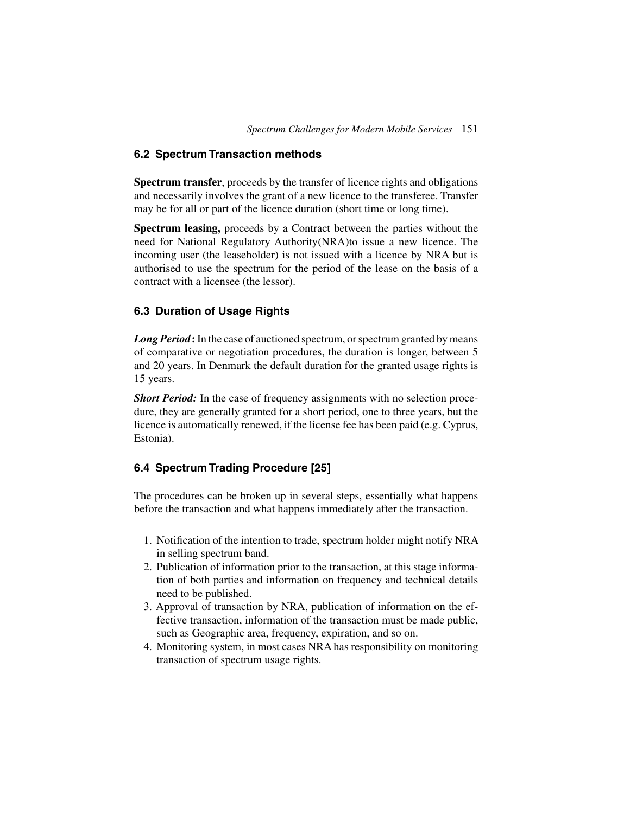#### **6.2 Spectrum Transaction methods**

**Spectrum transfer**, proceeds by the transfer of licence rights and obligations and necessarily involves the grant of a new licence to the transferee. Transfer may be for all or part of the licence duration (short time or long time).

**Spectrum leasing,** proceeds by a Contract between the parties without the need for National Regulatory Authority(NRA)to issue a new licence. The incoming user (the leaseholder) is not issued with a licence by NRA but is authorised to use the spectrum for the period of the lease on the basis of a contract with a licensee (the lessor).

### **6.3 Duration of Usage Rights**

*Long Period***:**In the case of auctioned spectrum, or spectrum granted by means of comparative or negotiation procedures, the duration is longer, between 5 and 20 years. In Denmark the default duration for the granted usage rights is 15 years.

*Short Period:* In the case of frequency assignments with no selection procedure, they are generally granted for a short period, one to three years, but the licence is automatically renewed, if the license fee has been paid (e.g. Cyprus, Estonia).

## **6.4 Spectrum Trading Procedure [25]**

The procedures can be broken up in several steps, essentially what happens before the transaction and what happens immediately after the transaction.

- 1. Notification of the intention to trade, spectrum holder might notify NRA in selling spectrum band.
- 2. Publication of information prior to the transaction, at this stage information of both parties and information on frequency and technical details need to be published.
- 3. Approval of transaction by NRA, publication of information on the effective transaction, information of the transaction must be made public, such as Geographic area, frequency, expiration, and so on.
- 4. Monitoring system, in most cases NRA has responsibility on monitoring transaction of spectrum usage rights.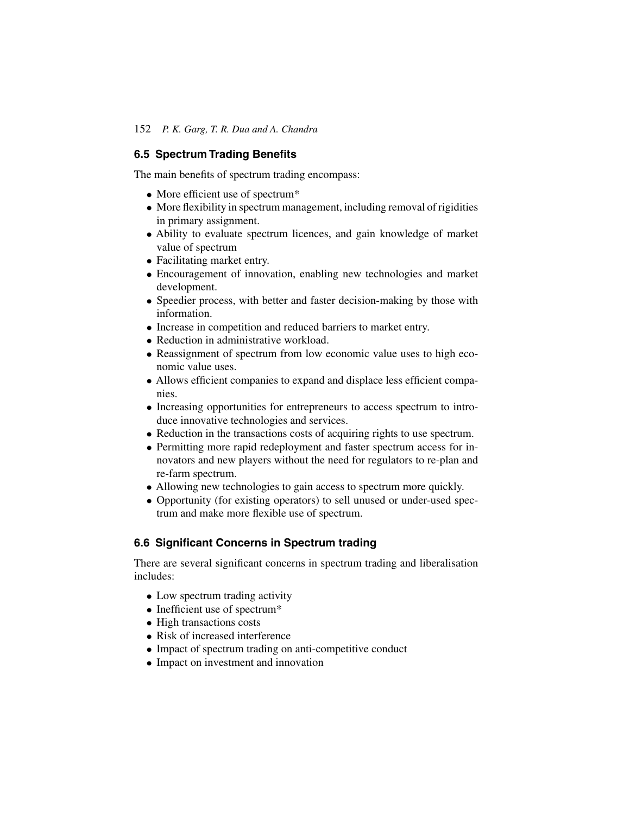## **6.5 Spectrum Trading Benefits**

The main benefits of spectrum trading encompass:

- More efficient use of spectrum\*
- More flexibility in spectrum management, including removal of rigidities in primary assignment.
- Ability to evaluate spectrum licences, and gain knowledge of market value of spectrum
- Facilitating market entry.
- Encouragement of innovation, enabling new technologies and market development.
- Speedier process, with better and faster decision-making by those with information.
- Increase in competition and reduced barriers to market entry.
- Reduction in administrative workload.
- Reassignment of spectrum from low economic value uses to high economic value uses.
- Allows efficient companies to expand and displace less efficient companies.
- Increasing opportunities for entrepreneurs to access spectrum to introduce innovative technologies and services.
- Reduction in the transactions costs of acquiring rights to use spectrum.
- Permitting more rapid redeployment and faster spectrum access for innovators and new players without the need for regulators to re-plan and re-farm spectrum.
- Allowing new technologies to gain access to spectrum more quickly.
- Opportunity (for existing operators) to sell unused or under-used spectrum and make more flexible use of spectrum.

## **6.6 Significant Concerns in Spectrum trading**

There are several significant concerns in spectrum trading and liberalisation includes:

- Low spectrum trading activity
- Inefficient use of spectrum\*
- High transactions costs
- Risk of increased interference
- Impact of spectrum trading on anti-competitive conduct
- Impact on investment and innovation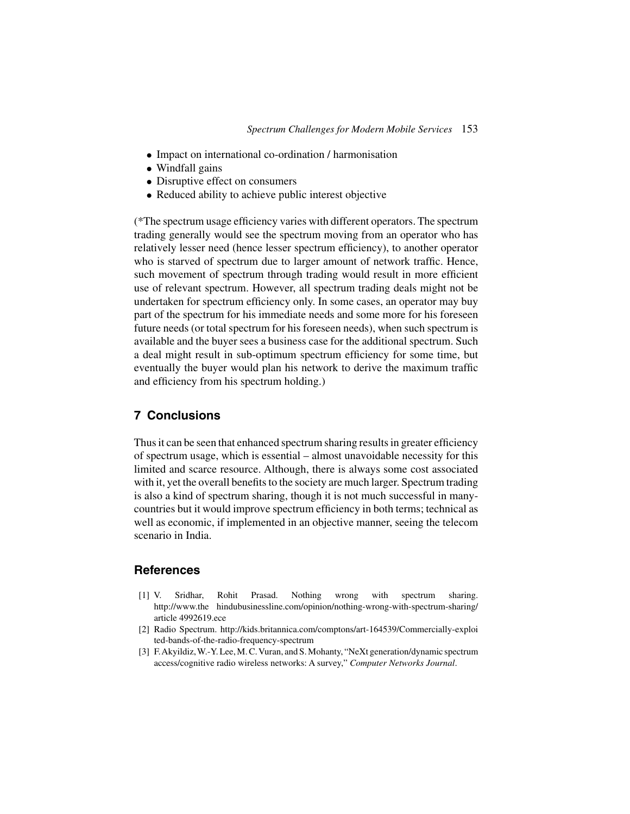- Impact on international co-ordination / harmonisation
- Windfall gains
- Disruptive effect on consumers
- Reduced ability to achieve public interest objective

(\*The spectrum usage efficiency varies with different operators. The spectrum trading generally would see the spectrum moving from an operator who has relatively lesser need (hence lesser spectrum efficiency), to another operator who is starved of spectrum due to larger amount of network traffic. Hence, such movement of spectrum through trading would result in more efficient use of relevant spectrum. However, all spectrum trading deals might not be undertaken for spectrum efficiency only. In some cases, an operator may buy part of the spectrum for his immediate needs and some more for his foreseen future needs (or total spectrum for his foreseen needs), when such spectrum is available and the buyer sees a business case for the additional spectrum. Such a deal might result in sub-optimum spectrum efficiency for some time, but eventually the buyer would plan his network to derive the maximum traffic and efficiency from his spectrum holding.)

## **7 Conclusions**

Thus it can be seen that enhanced spectrum sharing results in greater efficiency of spectrum usage, which is essential – almost unavoidable necessity for this limited and scarce resource. Although, there is always some cost associated with it, yet the overall benefits to the society are much larger. Spectrum trading is also a kind of spectrum sharing, though it is not much successful in manycountries but it would improve spectrum efficiency in both terms; technical as well as economic, if implemented in an objective manner, seeing the telecom scenario in India.

## **References**

- [1] V. Sridhar, Rohit Prasad. Nothing wrong with spectrum sharing. http://www.the hindubusinessline.com/opinion/nothing-wrong-with-spectrum-sharing/ article 4992619.ece
- [2] Radio Spectrum. http://kids.britannica.com/comptons/art-164539/Commercially-exploi ted-bands-of-the-radio-frequency-spectrum
- [3] F.Akyildiz, W.-Y. Lee, M. C. Vuran, and S. Mohanty, "NeXt generation/dynamic spectrum access/cognitive radio wireless networks: A survey," *Computer Networks Journal*.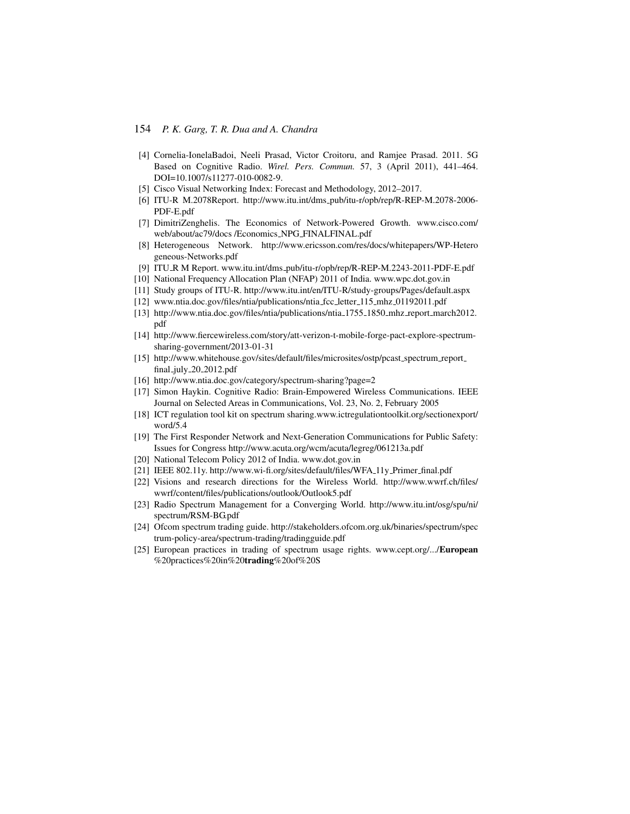- [4] Cornelia-IonelaBadoi, Neeli Prasad, Victor Croitoru, and Ramjee Prasad. 2011. 5G Based on Cognitive Radio. *Wirel. Pers. Commun.* 57, 3 (April 2011), 441–464. DOI=10.1007/s11277-010-0082-9.
- [5] Cisco Visual Networking Index: Forecast and Methodology, 2012–2017.
- [6] ITU-R M.2078Report. http://www.itu.int/dms pub/itu-r/opb/rep/R-REP-M.2078-2006- PDF-E.pdf
- [7] DimitriZenghelis. The Economics of Network-Powered Growth. www.cisco.com/ web/about/ac79/docs /Economics NPG FINALFINAL.pdf
- [8] Heterogeneous Network. http://www.ericsson.com/res/docs/whitepapers/WP-Hetero geneous-Networks.pdf
- [9] ITU R M Report. www.itu.int/dms pub/itu-r/opb/rep/R-REP-M.2243-2011-PDF-E.pdf
- [10] National Frequency Allocation Plan (NFAP) 2011 of India. www.wpc.dot.gov.in
- [11] Study groups of ITU-R. http://www.itu.int/en/ITU-R/study-groups/Pages/default.aspx
- [12] www.ntia.doc.gov/files/ntia/publications/ntia fcc letter 115 mhz 01192011.pdf
- [13] http://www.ntia.doc.gov/files/ntia/publications/ntia 1755 1850 mhz report march2012. pdf
- [14] http://www.fiercewireless.com/story/att-verizon-t-mobile-forge-pact-explore-spectrumsharing-government/2013-01-31
- [15] http://www.whitehouse.gov/sites/default/files/microsites/ostp/pcast spectrum report final july 20 2012.pdf
- [16] http://www.ntia.doc.gov/category/spectrum-sharing?page=2
- [17] Simon Haykin. Cognitive Radio: Brain-Empowered Wireless Communications. IEEE Journal on Selected Areas in Communications, Vol. 23, No. 2, February 2005
- [18] ICT regulation tool kit on spectrum sharing.www.ictregulationtoolkit.org/sectionexport/ word/5.4
- [19] The First Responder Network and Next-Generation Communications for Public Safety: Issues for Congress http://www.acuta.org/wcm/acuta/legreg/061213a.pdf
- [20] National Telecom Policy 2012 of India. www.dot.gov.in
- [21] IEEE 802.11y. http://www.wi-fi.org/sites/default/files/WFA\_11y\_Primer\_final.pdf
- [22] Visions and research directions for the Wireless World. http://www.wwrf.ch/files/ wwrf/content/files/publications/outlook/Outlook5.pdf
- [23] Radio Spectrum Management for a Converging World. http://www.itu.int/osg/spu/ni/ spectrum/RSM-BG.pdf
- [24] Ofcom spectrum trading guide. http://stakeholders.ofcom.org.uk/binaries/spectrum/spec trum-policy-area/spectrum-trading/tradingguide.pdf
- [25] European practices in trading of spectrum usage rights. www.cept.org/.../**European** %20practices%20in%20**trading**%20of%20S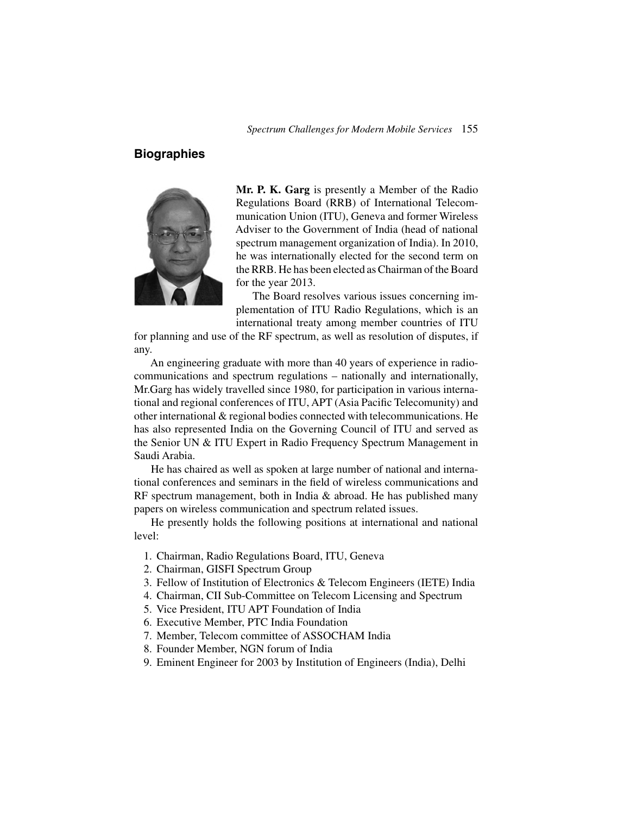## **Biographies**



**Mr. P. K. Garg** is presently a Member of the Radio Regulations Board (RRB) of International Telecommunication Union (ITU), Geneva and former Wireless Adviser to the Government of India (head of national spectrum management organization of India). In 2010, he was internationally elected for the second term on the RRB. He has been elected as Chairman of the Board for the year 2013.

The Board resolves various issues concerning implementation of ITU Radio Regulations, which is an international treaty among member countries of ITU

for planning and use of the RF spectrum, as well as resolution of disputes, if any.

An engineering graduate with more than 40 years of experience in radiocommunications and spectrum regulations – nationally and internationally, Mr.Garg has widely travelled since 1980, for participation in various international and regional conferences of ITU, APT (Asia Pacific Telecomunity) and other international & regional bodies connected with telecommunications. He has also represented India on the Governing Council of ITU and served as the Senior UN & ITU Expert in Radio Frequency Spectrum Management in Saudi Arabia.

He has chaired as well as spoken at large number of national and international conferences and seminars in the field of wireless communications and RF spectrum management, both in India & abroad. He has published many papers on wireless communication and spectrum related issues.

He presently holds the following positions at international and national level:

- 1. Chairman, Radio Regulations Board, ITU, Geneva
- 2. Chairman, GISFI Spectrum Group
- 3. Fellow of Institution of Electronics & Telecom Engineers (IETE) India
- 4. Chairman, CII Sub-Committee on Telecom Licensing and Spectrum
- 5. Vice President, ITU APT Foundation of India
- 6. Executive Member, PTC India Foundation
- 7. Member, Telecom committee of ASSOCHAM India
- 8. Founder Member, NGN forum of India
- 9. Eminent Engineer for 2003 by Institution of Engineers (India), Delhi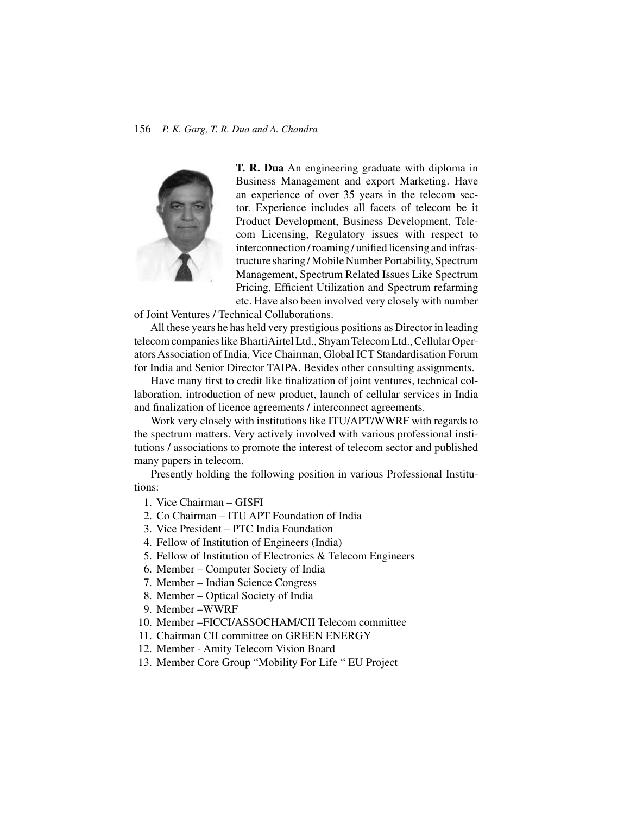

**T. R. Dua** An engineering graduate with diploma in Business Management and export Marketing. Have an experience of over 35 years in the telecom sector. Experience includes all facets of telecom be it Product Development, Business Development, Telecom Licensing, Regulatory issues with respect to interconnection / roaming / unified licensing and infrastructure sharing / Mobile Number Portability, Spectrum Management, Spectrum Related Issues Like Spectrum Pricing, Efficient Utilization and Spectrum refarming etc. Have also been involved very closely with number

of Joint Ventures / Technical Collaborations.

All these years he has held very prestigious positions as Director in leading telecom companies like BhartiAirtel Ltd., Shyam Telecom Ltd., Cellular Operators Association of India, Vice Chairman, Global ICT Standardisation Forum for India and Senior Director TAIPA. Besides other consulting assignments.

Have many first to credit like finalization of joint ventures, technical collaboration, introduction of new product, launch of cellular services in India and finalization of licence agreements / interconnect agreements.

Work very closely with institutions like ITU/APT/WWRF with regards to the spectrum matters. Very actively involved with various professional institutions / associations to promote the interest of telecom sector and published many papers in telecom.

Presently holding the following position in various Professional Institutions:

- 1. Vice Chairman GISFI
- 2. Co Chairman ITU APT Foundation of India
- 3. Vice President PTC India Foundation
- 4. Fellow of Institution of Engineers (India)
- 5. Fellow of Institution of Electronics & Telecom Engineers
- 6. Member Computer Society of India
- 7. Member Indian Science Congress
- 8. Member Optical Society of India
- 9. Member –WWRF
- 10. Member –FICCI/ASSOCHAM/CII Telecom committee
- 11. Chairman CII committee on GREEN ENERGY
- 12. Member Amity Telecom Vision Board
- 13. Member Core Group "Mobility For Life " EU Project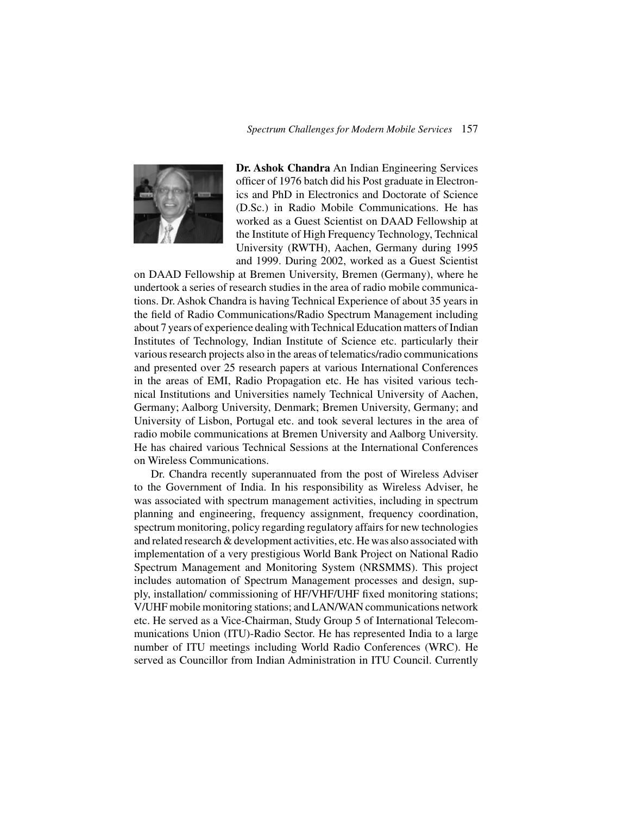

**Dr. Ashok Chandra** An Indian Engineering Services officer of 1976 batch did his Post graduate in Electronics and PhD in Electronics and Doctorate of Science (D.Sc.) in Radio Mobile Communications. He has worked as a Guest Scientist on DAAD Fellowship at the Institute of High Frequency Technology, Technical University (RWTH), Aachen, Germany during 1995 and 1999. During 2002, worked as a Guest Scientist

on DAAD Fellowship at Bremen University, Bremen (Germany), where he undertook a series of research studies in the area of radio mobile communications. Dr. Ashok Chandra is having Technical Experience of about 35 years in the field of Radio Communications/Radio Spectrum Management including about 7 years of experience dealing with Technical Education matters of Indian Institutes of Technology, Indian Institute of Science etc. particularly their various research projects also in the areas of telematics/radio communications and presented over 25 research papers at various International Conferences in the areas of EMI, Radio Propagation etc. He has visited various technical Institutions and Universities namely Technical University of Aachen, Germany; Aalborg University, Denmark; Bremen University, Germany; and University of Lisbon, Portugal etc. and took several lectures in the area of radio mobile communications at Bremen University and Aalborg University. He has chaired various Technical Sessions at the International Conferences on Wireless Communications.

Dr. Chandra recently superannuated from the post of Wireless Adviser to the Government of India. In his responsibility as Wireless Adviser, he was associated with spectrum management activities, including in spectrum planning and engineering, frequency assignment, frequency coordination, spectrum monitoring, policy regarding regulatory affairs for new technologies and related research & development activities, etc. He was also associated with implementation of a very prestigious World Bank Project on National Radio Spectrum Management and Monitoring System (NRSMMS). This project includes automation of Spectrum Management processes and design, supply, installation/ commissioning of HF/VHF/UHF fixed monitoring stations; V/UHF mobile monitoring stations; and LAN/WAN communications network etc. He served as a Vice-Chairman, Study Group 5 of International Telecommunications Union (ITU)-Radio Sector. He has represented India to a large number of ITU meetings including World Radio Conferences (WRC). He served as Councillor from Indian Administration in ITU Council. Currently